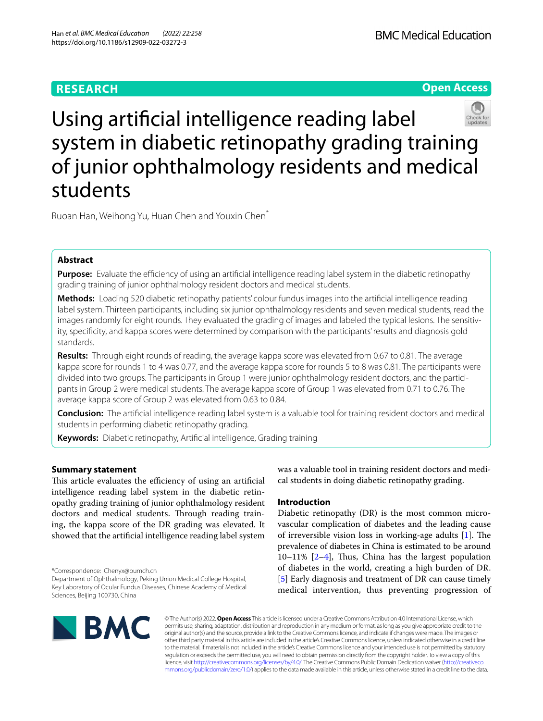# **RESEARCH**





Using artifcial intelligence reading label system in diabetic retinopathy grading training of junior ophthalmology residents and medical students

Ruoan Han, Weihong Yu, Huan Chen and Youxin Chen\*

# **Abstract**

**Purpose:** Evaluate the efficiency of using an artificial intelligence reading label system in the diabetic retinopathy grading training of junior ophthalmology resident doctors and medical students.

**Methods:** Loading 520 diabetic retinopathy patients' colour fundus images into the artifcial intelligence reading label system. Thirteen participants, including six junior ophthalmology residents and seven medical students, read the images randomly for eight rounds. They evaluated the grading of images and labeled the typical lesions. The sensitivity, specifcity, and kappa scores were determined by comparison with the participants' results and diagnosis gold standards.

**Results:** Through eight rounds of reading, the average kappa score was elevated from 0.67 to 0.81. The average kappa score for rounds 1 to 4 was 0.77, and the average kappa score for rounds 5 to 8 was 0.81. The participants were divided into two groups. The participants in Group 1 were junior ophthalmology resident doctors, and the participants in Group 2 were medical students. The average kappa score of Group 1 was elevated from 0.71 to 0.76. The average kappa score of Group 2 was elevated from 0.63 to 0.84.

**Conclusion:** The artifcial intelligence reading label system is a valuable tool for training resident doctors and medical students in performing diabetic retinopathy grading.

**Keywords:** Diabetic retinopathy, Artifcial intelligence, Grading training

## **Summary statement**

This article evaluates the efficiency of using an artificial intelligence reading label system in the diabetic retinopathy grading training of junior ophthalmology resident doctors and medical students. Through reading training, the kappa score of the DR grading was elevated. It showed that the artifcial intelligence reading label system

\*Correspondence: Chenyx@pumch.cn

was a valuable tool in training resident doctors and medical students in doing diabetic retinopathy grading.

## **Introduction**

Diabetic retinopathy (DR) is the most common microvascular complication of diabetes and the leading cause of irreversible vision loss in working-age adults  $[1]$  $[1]$ . The prevalence of diabetes in China is estimated to be around  $10-11\%$   $[2-4]$  $[2-4]$ , Thus, China has the largest population of diabetes in the world, creating a high burden of DR. [[5\]](#page-5-3) Early diagnosis and treatment of DR can cause timely medical intervention, thus preventing progression of



© The Author(s) 2022. **Open Access** This article is licensed under a Creative Commons Attribution 4.0 International License, which permits use, sharing, adaptation, distribution and reproduction in any medium or format, as long as you give appropriate credit to the original author(s) and the source, provide a link to the Creative Commons licence, and indicate if changes were made. The images or other third party material in this article are included in the article's Creative Commons licence, unless indicated otherwise in a credit line to the material. If material is not included in the article's Creative Commons licence and your intended use is not permitted by statutory regulation or exceeds the permitted use, you will need to obtain permission directly from the copyright holder. To view a copy of this licence, visit [http://creativecommons.org/licenses/by/4.0/.](http://creativecommons.org/licenses/by/4.0/) The Creative Commons Public Domain Dedication waiver ([http://creativeco](http://creativecommons.org/publicdomain/zero/1.0/) [mmons.org/publicdomain/zero/1.0/](http://creativecommons.org/publicdomain/zero/1.0/)) applies to the data made available in this article, unless otherwise stated in a credit line to the data.

Department of Ophthalmology, Peking Union Medical College Hospital, Key Laboratory of Ocular Fundus Diseases, Chinese Academy of Medical Sciences, Beijing 100730, China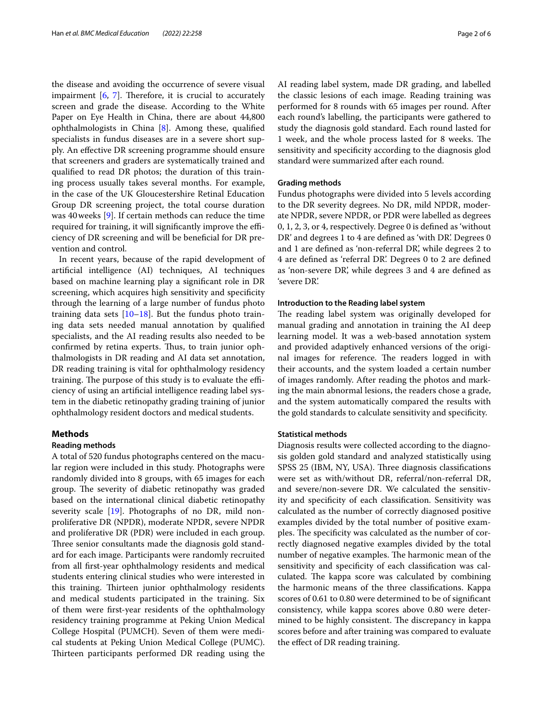the disease and avoiding the occurrence of severe visual impairment  $[6, 7]$  $[6, 7]$  $[6, 7]$ . Therefore, it is crucial to accurately screen and grade the disease. According to the White Paper on Eye Health in China, there are about 44,800 ophthalmologists in China [\[8](#page-5-6)]. Among these, qualifed specialists in fundus diseases are in a severe short supply. An efective DR screening programme should ensure that screeners and graders are systematically trained and qualifed to read DR photos; the duration of this training process usually takes several months. For example, in the case of the UK Gloucestershire Retinal Education Group DR screening project, the total course duration was 40weeks [[9\]](#page-5-7). If certain methods can reduce the time required for training, it will significantly improve the efficiency of DR screening and will be benefcial for DR prevention and control.

In recent years, because of the rapid development of artifcial intelligence (AI) techniques, AI techniques based on machine learning play a signifcant role in DR screening, which acquires high sensitivity and specifcity through the learning of a large number of fundus photo training data sets  $[10-18]$  $[10-18]$ . But the fundus photo training data sets needed manual annotation by qualifed specialists, and the AI reading results also needed to be confirmed by retina experts. Thus, to train junior ophthalmologists in DR reading and AI data set annotation, DR reading training is vital for ophthalmology residency training. The purpose of this study is to evaluate the efficiency of using an artifcial intelligence reading label system in the diabetic retinopathy grading training of junior ophthalmology resident doctors and medical students.

### **Methods**

#### **Reading methods**

A total of 520 fundus photographs centered on the macular region were included in this study. Photographs were randomly divided into 8 groups, with 65 images for each group. The severity of diabetic retinopathy was graded based on the international clinical diabetic retinopathy severity scale [\[19](#page-5-10)]. Photographs of no DR, mild nonproliferative DR (NPDR), moderate NPDR, severe NPDR and proliferative DR (PDR) were included in each group. Three senior consultants made the diagnosis gold standard for each image. Participants were randomly recruited from all frst-year ophthalmology residents and medical students entering clinical studies who were interested in this training. Thirteen junior ophthalmology residents and medical students participated in the training. Six of them were frst-year residents of the ophthalmology residency training programme at Peking Union Medical College Hospital (PUMCH). Seven of them were medical students at Peking Union Medical College (PUMC). Thirteen participants performed DR reading using the AI reading label system, made DR grading, and labelled the classic lesions of each image. Reading training was performed for 8 rounds with 65 images per round. After each round's labelling, the participants were gathered to study the diagnosis gold standard. Each round lasted for 1 week, and the whole process lasted for 8 weeks. The sensitivity and specifcity according to the diagnosis glod standard were summarized after each round.

### **Grading methods**

Fundus photographs were divided into 5 levels according to the DR severity degrees. No DR, mild NPDR, moderate NPDR, severe NPDR, or PDR were labelled as degrees 0, 1, 2, 3, or 4, respectively. Degree 0 is defned as 'without DR' and degrees 1 to 4 are defned as 'with DR'. Degrees 0 and 1 are defned as 'non-referral DR', while degrees 2 to 4 are defned as 'referral DR'. Degrees 0 to 2 are defned as 'non-severe DR', while degrees 3 and 4 are defned as 'severe DR'.

### **Introduction to the Reading label system**

The reading label system was originally developed for manual grading and annotation in training the AI deep learning model. It was a web-based annotation system and provided adaptively enhanced versions of the original images for reference. The readers logged in with their accounts, and the system loaded a certain number of images randomly. After reading the photos and marking the main abnormal lesions, the readers chose a grade, and the system automatically compared the results with the gold standards to calculate sensitivity and specifcity.

### **Statistical methods**

Diagnosis results were collected according to the diagnosis golden gold standard and analyzed statistically using SPSS 25 (IBM, NY, USA). Three diagnosis classifications were set as with/without DR, referral/non-referral DR, and severe/non-severe DR. We calculated the sensitivity and specifcity of each classifcation. Sensitivity was calculated as the number of correctly diagnosed positive examples divided by the total number of positive examples. The specificity was calculated as the number of correctly diagnosed negative examples divided by the total number of negative examples. The harmonic mean of the sensitivity and specifcity of each classifcation was calculated. The kappa score was calculated by combining the harmonic means of the three classifcations. Kappa scores of 0.61 to 0.80 were determined to be of signifcant consistency, while kappa scores above 0.80 were determined to be highly consistent. The discrepancy in kappa scores before and after training was compared to evaluate the efect of DR reading training.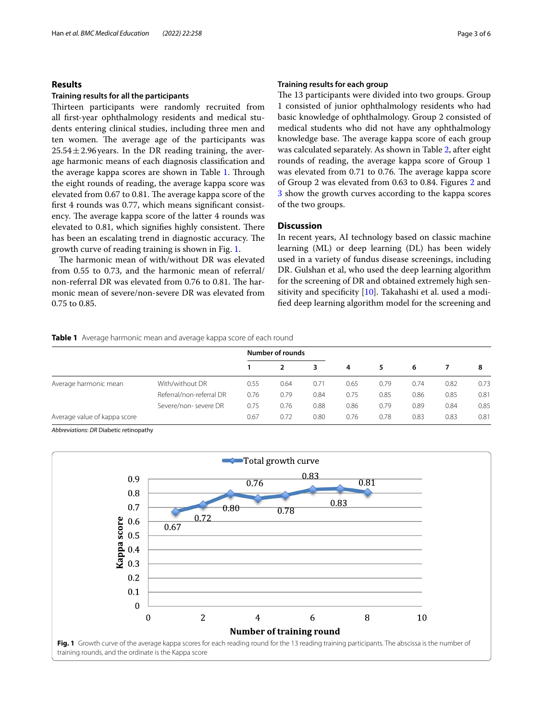## **Results**

### **Training results for all the participants**

Thirteen participants were randomly recruited from all frst-year ophthalmology residents and medical students entering clinical studies, including three men and ten women. The average age of the participants was  $25.54 \pm 2.96$  years. In the DR reading training, the average harmonic means of each diagnosis classifcation and the average kappa scores are shown in Table [1.](#page-2-0) Through the eight rounds of reading, the average kappa score was elevated from 0.67 to 0.81. The average kappa score of the frst 4 rounds was 0.77, which means signifcant consistency. The average kappa score of the latter 4 rounds was elevated to 0.81, which signifies highly consistent. There has been an escalating trend in diagnostic accuracy. The growth curve of reading training is shown in Fig. [1.](#page-2-1)

The harmonic mean of with/without DR was elevated from 0.55 to 0.73, and the harmonic mean of referral/ non-referral DR was elevated from  $0.76$  to  $0.81$ . The harmonic mean of severe/non-severe DR was elevated from 0.75 to 0.85.

## **Training results for each group**

The 13 participants were divided into two groups. Group 1 consisted of junior ophthalmology residents who had basic knowledge of ophthalmology. Group 2 consisted of medical students who did not have any ophthalmology knowledge base. The average kappa score of each group was calculated separately. As shown in Table [2,](#page-3-0) after eight rounds of reading, the average kappa score of Group 1 was elevated from 0.71 to 0.76. The average kappa score of Group 2 was elevated from 0.63 to 0.84. Figures [2](#page-3-1) and [3](#page-3-2) show the growth curves according to the kappa scores of the two groups.

## **Discussion**

In recent years, AI technology based on classic machine learning (ML) or deep learning (DL) has been widely used in a variety of fundus disease screenings, including DR. Gulshan et al, who used the deep learning algorithm for the screening of DR and obtained extremely high sen-sitivity and specificity [[10\]](#page-5-8). Takahashi et al. used a modifed deep learning algorithm model for the screening and

### <span id="page-2-0"></span>**Table 1** Average harmonic mean and average kappa score of each round

|                              |                          |      | <b>Number of rounds</b> |      | 4    | 5    | 6    |      | 8    |
|------------------------------|--------------------------|------|-------------------------|------|------|------|------|------|------|
|                              |                          |      |                         | 3    |      |      |      |      |      |
| Average harmonic mean        | With/without DR          | 0.55 | 0.64                    | 0.71 | 0.65 | 0.79 | 0.74 | 0.82 | 0.73 |
|                              | Referral/non-referral DR | 0.76 | 0.79                    | 0.84 | 0.75 | 0.85 | 0.86 | 0.85 | 0.81 |
|                              | Severe/non-severe DR     | 0.75 | 0.76                    | 0.88 | 0.86 | 0.79 | 0.89 | 0.84 | 0.85 |
| Average value of kappa score |                          | 0.67 | 0.72                    | 0.80 | 0.76 | 0.78 | 0.83 | 0.83 | 0.81 |

*Abbreviations*: *DR* Diabetic retinopathy

<span id="page-2-1"></span>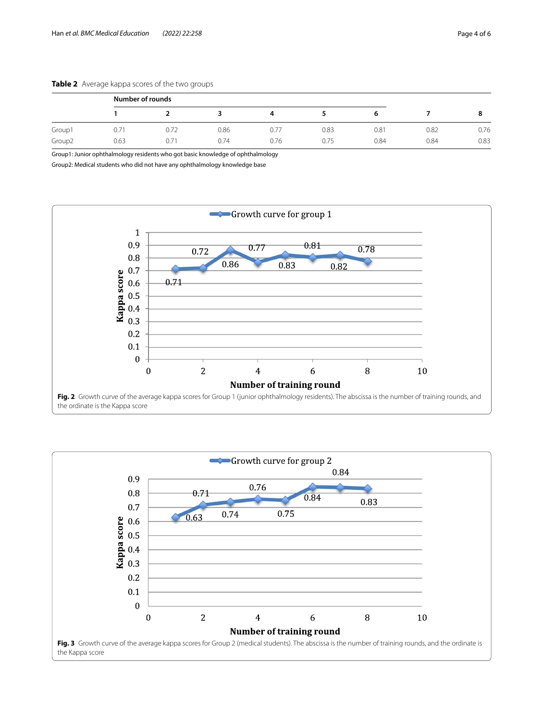## <span id="page-3-0"></span>**Table 2** Average kappa scores of the two groups

|                    | Number of rounds |      |      |      |      |      |      |      |
|--------------------|------------------|------|------|------|------|------|------|------|
|                    |                  |      |      |      |      |      |      |      |
| Group1             | 0.71             | 0.72 | 0.86 | 0.77 | 0.83 | 0.81 | 0.82 | 0.76 |
| Group <sub>2</sub> | 0.63             | 0.71 | 0.74 | 0.76 | 0.75 | 0.84 | 0.84 | 0.83 |

Group1: Junior ophthalmology residents who got basic knowledge of ophthalmology

Group2: Medical students who did not have any ophthalmology knowledge base



<span id="page-3-2"></span><span id="page-3-1"></span>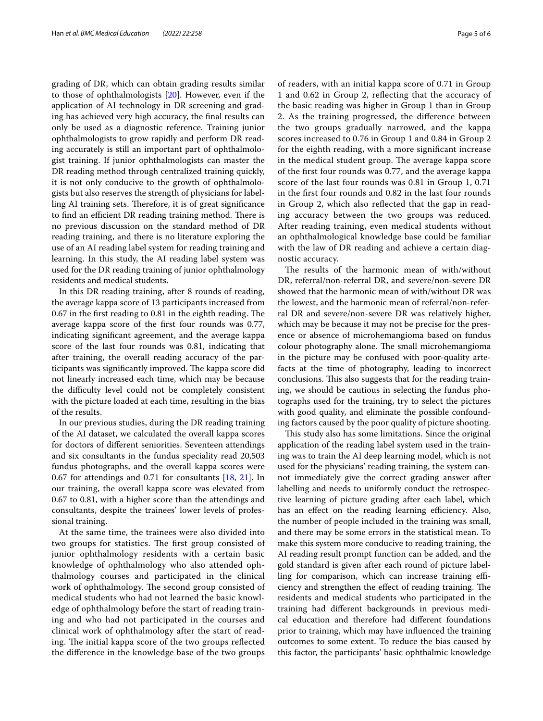grading of DR, which can obtain grading results similar to those of ophthalmologists [\[20](#page-5-11)]. However, even if the application of AI technology in DR screening and grading has achieved very high accuracy, the fnal results can only be used as a diagnostic reference. Training junior ophthalmologists to grow rapidly and perform DR reading accurately is still an important part of ophthalmologist training. If junior ophthalmologists can master the DR reading method through centralized training quickly, it is not only conducive to the growth of ophthalmologists but also reserves the strength of physicians for labelling AI training sets. Therefore, it is of great significance to find an efficient DR reading training method. There is no previous discussion on the standard method of DR reading training, and there is no literature exploring the use of an AI reading label system for reading training and learning. In this study, the AI reading label system was used for the DR reading training of junior ophthalmology residents and medical students.

In this DR reading training, after 8 rounds of reading, the average kappa score of 13 participants increased from  $0.67$  in the first reading to  $0.81$  in the eighth reading. The average kappa score of the frst four rounds was 0.77, indicating signifcant agreement, and the average kappa score of the last four rounds was 0.81, indicating that after training, the overall reading accuracy of the participants was significantly improved. The kappa score did not linearly increased each time, which may be because the difficulty level could not be completely consistent with the picture loaded at each time, resulting in the bias of the results.

In our previous studies, during the DR reading training of the AI dataset, we calculated the overall kappa scores for doctors of diferent seniorities. Seventeen attendings and six consultants in the fundus speciality read 20,503 fundus photographs, and the overall kappa scores were 0.67 for attendings and 0.71 for consultants [\[18](#page-5-9), [21\]](#page-5-12). In our training, the overall kappa score was elevated from 0.67 to 0.81, with a higher score than the attendings and consultants, despite the trainees' lower levels of professional training.

At the same time, the trainees were also divided into two groups for statistics. The first group consisted of junior ophthalmology residents with a certain basic knowledge of ophthalmology who also attended ophthalmology courses and participated in the clinical work of ophthalmology. The second group consisted of medical students who had not learned the basic knowledge of ophthalmology before the start of reading training and who had not participated in the courses and clinical work of ophthalmology after the start of reading. The initial kappa score of the two groups reflected the diference in the knowledge base of the two groups of readers, with an initial kappa score of 0.71 in Group 1 and 0.62 in Group 2, refecting that the accuracy of the basic reading was higher in Group 1 than in Group 2. As the training progressed, the diference between the two groups gradually narrowed, and the kappa scores increased to 0.76 in Group 1 and 0.84 in Group 2 for the eighth reading, with a more signifcant increase in the medical student group. The average kappa score of the frst four rounds was 0.77, and the average kappa score of the last four rounds was 0.81 in Group 1, 0.71 in the frst four rounds and 0.82 in the last four rounds in Group 2, which also refected that the gap in reading accuracy between the two groups was reduced. After reading training, even medical students without an ophthalmological knowledge base could be familiar with the law of DR reading and achieve a certain diagnostic accuracy.

The results of the harmonic mean of with/without DR, referral/non-referral DR, and severe/non-severe DR showed that the harmonic mean of with/without DR was the lowest, and the harmonic mean of referral/non-referral DR and severe/non-severe DR was relatively higher, which may be because it may not be precise for the presence or absence of microhemangioma based on fundus colour photography alone. The small microhemangioma in the picture may be confused with poor-quality artefacts at the time of photography, leading to incorrect conclusions. This also suggests that for the reading training, we should be cautious in selecting the fundus photographs used for the training, try to select the pictures with good quality, and eliminate the possible confounding factors caused by the poor quality of picture shooting.

This study also has some limitations. Since the original application of the reading label system used in the training was to train the AI deep learning model, which is not used for the physicians' reading training, the system cannot immediately give the correct grading answer after labelling and needs to uniformly conduct the retrospective learning of picture grading after each label, which has an effect on the reading learning efficiency. Also, the number of people included in the training was small, and there may be some errors in the statistical mean. To make this system more conducive to reading training, the AI reading result prompt function can be added, and the gold standard is given after each round of picture labelling for comparison, which can increase training efficiency and strengthen the effect of reading training. The residents and medical students who participated in the training had diferent backgrounds in previous medical education and therefore had diferent foundations prior to training, which may have infuenced the training outcomes to some extent. To reduce the bias caused by this factor, the participants' basic ophthalmic knowledge